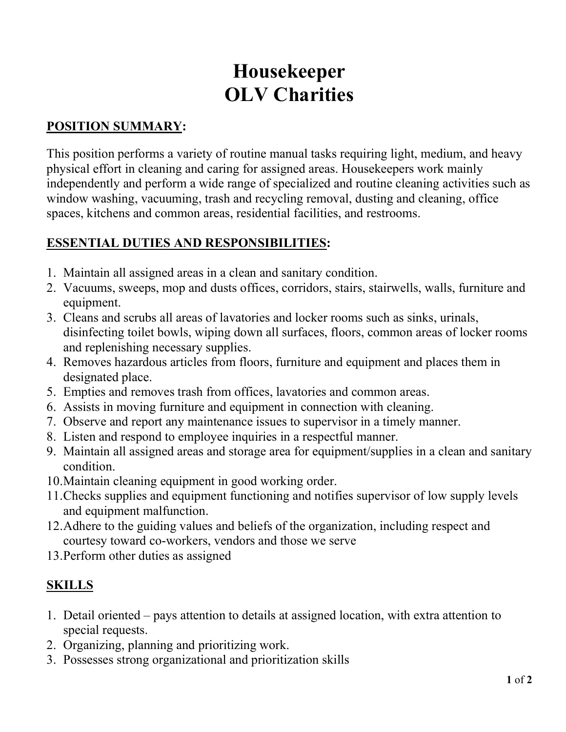# Housekeeper OLV Charities

# POSITION SUMMARY:

This position performs a variety of routine manual tasks requiring light, medium, and heavy physical effort in cleaning and caring for assigned areas. Housekeepers work mainly independently and perform a wide range of specialized and routine cleaning activities such as window washing, vacuuming, trash and recycling removal, dusting and cleaning, office spaces, kitchens and common areas, residential facilities, and restrooms.

# ESSENTIAL DUTIES AND RESPONSIBILITIES:

- 1. Maintain all assigned areas in a clean and sanitary condition.
- 2. Vacuums, sweeps, mop and dusts offices, corridors, stairs, stairwells, walls, furniture and equipment.
- 3. Cleans and scrubs all areas of lavatories and locker rooms such as sinks, urinals, disinfecting toilet bowls, wiping down all surfaces, floors, common areas of locker rooms and replenishing necessary supplies.
- 4. Removes hazardous articles from floors, furniture and equipment and places them in designated place.
- 5. Empties and removes trash from offices, lavatories and common areas.
- 6. Assists in moving furniture and equipment in connection with cleaning.
- 7. Observe and report any maintenance issues to supervisor in a timely manner.
- 8. Listen and respond to employee inquiries in a respectful manner.
- 9. Maintain all assigned areas and storage area for equipment/supplies in a clean and sanitary condition.
- 10.Maintain cleaning equipment in good working order.
- 11.Checks supplies and equipment functioning and notifies supervisor of low supply levels and equipment malfunction.
- 12.Adhere to the guiding values and beliefs of the organization, including respect and courtesy toward co-workers, vendors and those we serve
- 13.Perform other duties as assigned

# SKILLS

- 1. Detail oriented pays attention to details at assigned location, with extra attention to special requests.
- 2. Organizing, planning and prioritizing work.
- 3. Possesses strong organizational and prioritization skills